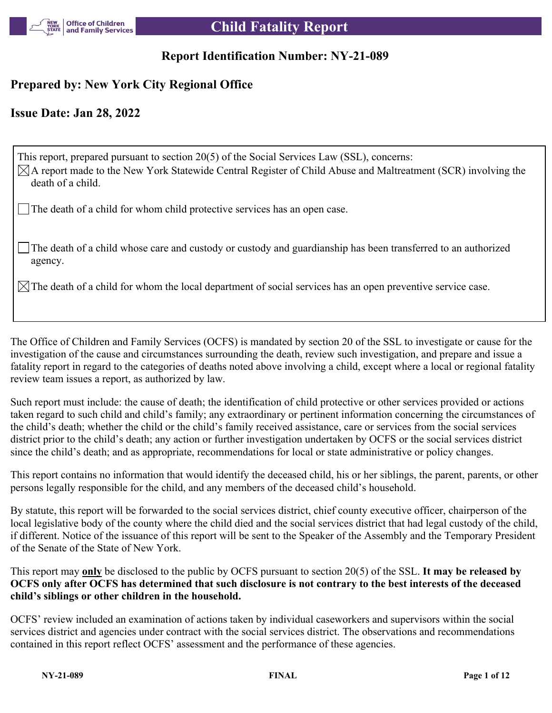

## **Report Identification Number: NY-21-089**

# **Prepared by: New York City Regional Office**

## **Issue Date: Jan 28, 2022**

This report, prepared pursuant to section 20(5) of the Social Services Law (SSL), concerns:  $\boxtimes$ A report made to the New York Statewide Central Register of Child Abuse and Maltreatment (SCR) involving the death of a child.

The death of a child for whom child protective services has an open case.

The death of a child whose care and custody or custody and guardianship has been transferred to an authorized agency.

 $\boxtimes$  The death of a child for whom the local department of social services has an open preventive service case.

The Office of Children and Family Services (OCFS) is mandated by section 20 of the SSL to investigate or cause for the investigation of the cause and circumstances surrounding the death, review such investigation, and prepare and issue a fatality report in regard to the categories of deaths noted above involving a child, except where a local or regional fatality review team issues a report, as authorized by law.

Such report must include: the cause of death; the identification of child protective or other services provided or actions taken regard to such child and child's family; any extraordinary or pertinent information concerning the circumstances of the child's death; whether the child or the child's family received assistance, care or services from the social services district prior to the child's death; any action or further investigation undertaken by OCFS or the social services district since the child's death; and as appropriate, recommendations for local or state administrative or policy changes.

This report contains no information that would identify the deceased child, his or her siblings, the parent, parents, or other persons legally responsible for the child, and any members of the deceased child's household.

By statute, this report will be forwarded to the social services district, chief county executive officer, chairperson of the local legislative body of the county where the child died and the social services district that had legal custody of the child, if different. Notice of the issuance of this report will be sent to the Speaker of the Assembly and the Temporary President of the Senate of the State of New York.

This report may **only** be disclosed to the public by OCFS pursuant to section 20(5) of the SSL. **It may be released by OCFS only after OCFS has determined that such disclosure is not contrary to the best interests of the deceased child's siblings or other children in the household.**

OCFS' review included an examination of actions taken by individual caseworkers and supervisors within the social services district and agencies under contract with the social services district. The observations and recommendations contained in this report reflect OCFS' assessment and the performance of these agencies.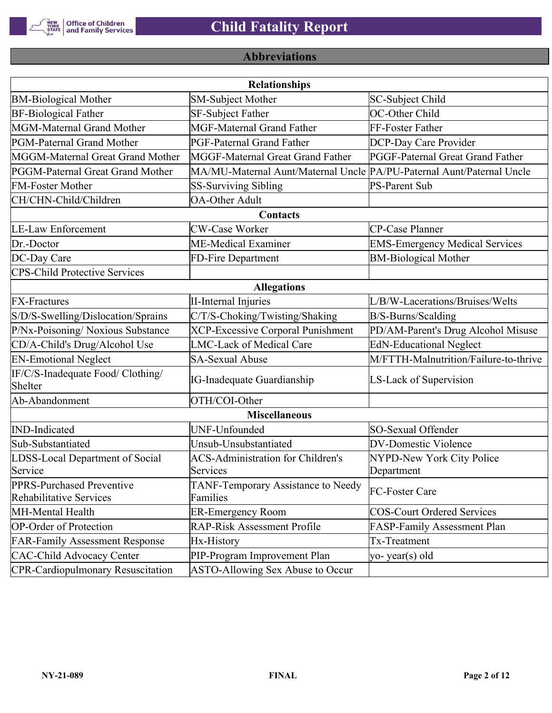

# **Abbreviations**

| <b>Relationships</b>                                 |                                                                       |                                       |  |  |  |
|------------------------------------------------------|-----------------------------------------------------------------------|---------------------------------------|--|--|--|
| <b>BM-Biological Mother</b>                          | <b>SM-Subject Mother</b>                                              | SC-Subject Child                      |  |  |  |
| <b>BF-Biological Father</b>                          | <b>SF-Subject Father</b>                                              | OC-Other Child                        |  |  |  |
| MGM-Maternal Grand Mother                            | <b>MGF-Maternal Grand Father</b>                                      | FF-Foster Father                      |  |  |  |
| PGM-Paternal Grand Mother                            | PGF-Paternal Grand Father                                             | DCP-Day Care Provider                 |  |  |  |
| MGGM-Maternal Great Grand Mother                     | MGGF-Maternal Great Grand Father                                      | PGGF-Paternal Great Grand Father      |  |  |  |
| PGGM-Paternal Great Grand Mother                     | MA/MU-Maternal Aunt/Maternal Uncle PA/PU-Paternal Aunt/Paternal Uncle |                                       |  |  |  |
| <b>FM-Foster Mother</b>                              | <b>SS-Surviving Sibling</b>                                           | <b>PS-Parent Sub</b>                  |  |  |  |
| CH/CHN-Child/Children                                | <b>OA-Other Adult</b>                                                 |                                       |  |  |  |
|                                                      | Contacts                                                              |                                       |  |  |  |
| <b>LE-Law Enforcement</b>                            | <b>CW-Case Worker</b>                                                 | CP-Case Planner                       |  |  |  |
| Dr.-Doctor                                           | ME-Medical Examiner                                                   | <b>EMS-Emergency Medical Services</b> |  |  |  |
| DC-Day Care                                          | FD-Fire Department                                                    | <b>BM-Biological Mother</b>           |  |  |  |
| <b>CPS-Child Protective Services</b>                 |                                                                       |                                       |  |  |  |
|                                                      | <b>Allegations</b>                                                    |                                       |  |  |  |
| <b>FX-Fractures</b>                                  | <b>II-Internal Injuries</b>                                           | L/B/W-Lacerations/Bruises/Welts       |  |  |  |
| S/D/S-Swelling/Dislocation/Sprains                   | C/T/S-Choking/Twisting/Shaking                                        | B/S-Burns/Scalding                    |  |  |  |
| P/Nx-Poisoning/ Noxious Substance                    | <b>XCP-Excessive Corporal Punishment</b>                              | PD/AM-Parent's Drug Alcohol Misuse    |  |  |  |
| CD/A-Child's Drug/Alcohol Use                        | <b>LMC-Lack of Medical Care</b>                                       | <b>EdN-Educational Neglect</b>        |  |  |  |
| <b>EN-Emotional Neglect</b>                          | <b>SA-Sexual Abuse</b>                                                | M/FTTH-Malnutrition/Failure-to-thrive |  |  |  |
| IF/C/S-Inadequate Food/ Clothing/<br>Shelter         | <b>IG-Inadequate Guardianship</b>                                     | LS-Lack of Supervision                |  |  |  |
| Ab-Abandonment                                       | OTH/COI-Other                                                         |                                       |  |  |  |
|                                                      | <b>Miscellaneous</b>                                                  |                                       |  |  |  |
| <b>IND-Indicated</b>                                 | UNF-Unfounded                                                         | SO-Sexual Offender                    |  |  |  |
| Sub-Substantiated                                    | Unsub-Unsubstantiated                                                 | <b>DV-Domestic Violence</b>           |  |  |  |
| LDSS-Local Department of Social                      | <b>ACS-Administration for Children's</b>                              | NYPD-New York City Police             |  |  |  |
| Service                                              | Services                                                              | Department                            |  |  |  |
| PPRS-Purchased Preventive<br>Rehabilitative Services | TANF-Temporary Assistance to Needy<br>Families                        | FC-Foster Care                        |  |  |  |
| MH-Mental Health                                     | <b>ER-Emergency Room</b>                                              | <b>COS-Court Ordered Services</b>     |  |  |  |
| <b>OP-Order of Protection</b>                        | <b>RAP-Risk Assessment Profile</b>                                    | FASP-Family Assessment Plan           |  |  |  |
| <b>FAR-Family Assessment Response</b>                | Hx-History                                                            | Tx-Treatment                          |  |  |  |
| <b>CAC-Child Advocacy Center</b>                     | PIP-Program Improvement Plan                                          | yo-year(s) old                        |  |  |  |
| <b>CPR-Cardiopulmonary Resuscitation</b>             | ASTO-Allowing Sex Abuse to Occur                                      |                                       |  |  |  |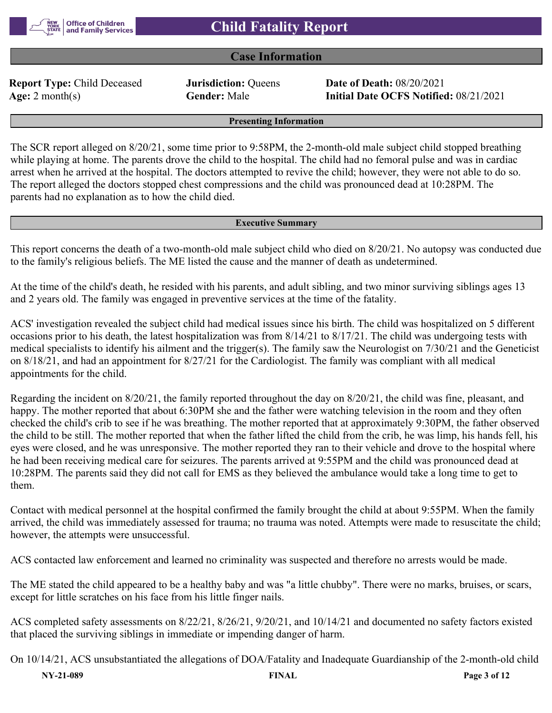

## **Case Information**

**Report Type:** Child Deceased **Jurisdiction:** Queens **Date of Death:** 08/20/2021

**Age:** 2 month(s) **Gender:** Male **Initial Date OCFS Notified:** 08/21/2021

**Presenting Information**

The SCR report alleged on 8/20/21, some time prior to 9:58PM, the 2-month-old male subject child stopped breathing while playing at home. The parents drove the child to the hospital. The child had no femoral pulse and was in cardiac arrest when he arrived at the hospital. The doctors attempted to revive the child; however, they were not able to do so. The report alleged the doctors stopped chest compressions and the child was pronounced dead at 10:28PM. The parents had no explanation as to how the child died.

#### **Executive Summary**

This report concerns the death of a two-month-old male subject child who died on 8/20/21. No autopsy was conducted due to the family's religious beliefs. The ME listed the cause and the manner of death as undetermined.

At the time of the child's death, he resided with his parents, and adult sibling, and two minor surviving siblings ages 13 and 2 years old. The family was engaged in preventive services at the time of the fatality.

ACS' investigation revealed the subject child had medical issues since his birth. The child was hospitalized on 5 different occasions prior to his death, the latest hospitalization was from 8/14/21 to 8/17/21. The child was undergoing tests with medical specialists to identify his ailment and the trigger(s). The family saw the Neurologist on 7/30/21 and the Geneticist on 8/18/21, and had an appointment for 8/27/21 for the Cardiologist. The family was compliant with all medical appointments for the child.

Regarding the incident on 8/20/21, the family reported throughout the day on 8/20/21, the child was fine, pleasant, and happy. The mother reported that about 6:30PM she and the father were watching television in the room and they often checked the child's crib to see if he was breathing. The mother reported that at approximately 9:30PM, the father observed the child to be still. The mother reported that when the father lifted the child from the crib, he was limp, his hands fell, his eyes were closed, and he was unresponsive. The mother reported they ran to their vehicle and drove to the hospital where he had been receiving medical care for seizures. The parents arrived at 9:55PM and the child was pronounced dead at 10:28PM. The parents said they did not call for EMS as they believed the ambulance would take a long time to get to them.

Contact with medical personnel at the hospital confirmed the family brought the child at about 9:55PM. When the family arrived, the child was immediately assessed for trauma; no trauma was noted. Attempts were made to resuscitate the child; however, the attempts were unsuccessful.

ACS contacted law enforcement and learned no criminality was suspected and therefore no arrests would be made.

The ME stated the child appeared to be a healthy baby and was "a little chubby". There were no marks, bruises, or scars, except for little scratches on his face from his little finger nails.

ACS completed safety assessments on 8/22/21, 8/26/21, 9/20/21, and 10/14/21 and documented no safety factors existed that placed the surviving siblings in immediate or impending danger of harm.

**NY-21-089 FINAL Page 3 of 12** On 10/14/21, ACS unsubstantiated the allegations of DOA/Fatality and Inadequate Guardianship of the 2-month-old child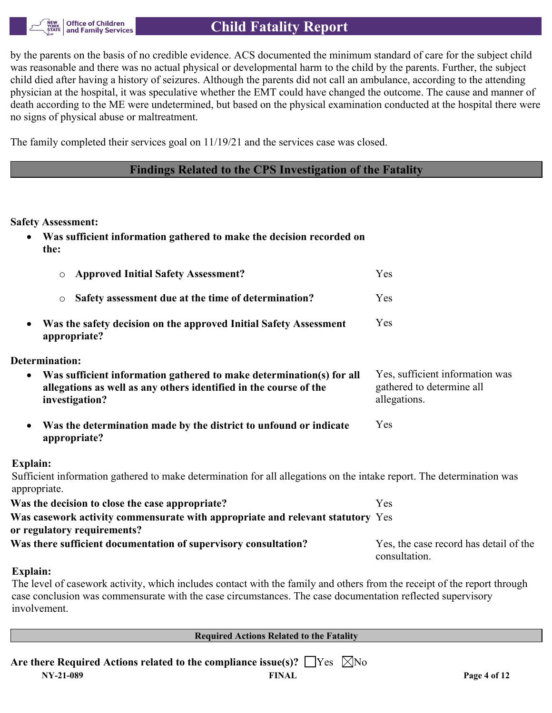

# **Child Fatality Report**

by the parents on the basis of no credible evidence. ACS documented the minimum standard of care for the subject child was reasonable and there was no actual physical or developmental harm to the child by the parents. Further, the subject child died after having a history of seizures. Although the parents did not call an ambulance, according to the attending physician at the hospital, it was speculative whether the EMT could have changed the outcome. The cause and manner of death according to the ME were undetermined, but based on the physical examination conducted at the hospital there were no signs of physical abuse or maltreatment.

The family completed their services goal on 11/19/21 and the services case was closed.

## **Findings Related to the CPS Investigation of the Fatality**

### **Safety Assessment:**

| • Was sufficient information gathered to make the decision recorded on |  |
|------------------------------------------------------------------------|--|
| the:                                                                   |  |

| <b>Approved Initial Safety Assessment?</b>          | Yes. |  |
|-----------------------------------------------------|------|--|
| Safety assessment due at the time of determination? | Yes. |  |

 **Was the safety decision on the approved Initial Safety Assessment appropriate?** Yes

### **Determination:**

| • Was sufficient information gathered to make determination(s) for all | Yes, sufficient information was |
|------------------------------------------------------------------------|---------------------------------|
| allegations as well as any others identified in the course of the      | gathered to determine all       |
| investigation?                                                         | allegations.                    |

 **Was the determination made by the district to unfound or indicate appropriate?** Yes

### **Explain:**

Sufficient information gathered to make determination for all allegations on the intake report. The determination was appropriate.

| Was the decision to close the case appropriate?                                | Yes.                                                    |
|--------------------------------------------------------------------------------|---------------------------------------------------------|
| Was casework activity commensurate with appropriate and relevant statutory Yes |                                                         |
| or regulatory requirements?                                                    |                                                         |
| Was there sufficient documentation of supervisory consultation?                | Yes, the case record has detail of the<br>consultation. |

### **Explain:**

The level of casework activity, which includes contact with the family and others from the receipt of the report through case conclusion was commensurate with the case circumstances. The case documentation reflected supervisory involvement.

**Required Actions Related to the Fatality**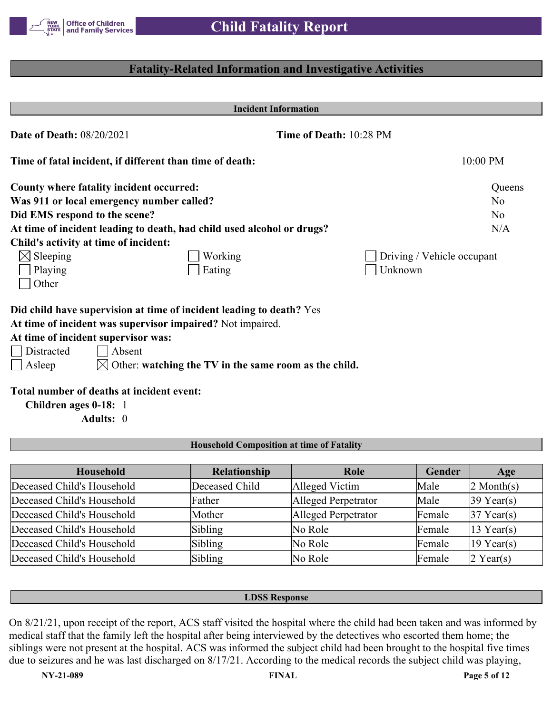

## **Fatality-Related Information and Investigative Activities**

|                                                          | <b>Incident Information</b>                                            |                            |
|----------------------------------------------------------|------------------------------------------------------------------------|----------------------------|
| <b>Date of Death: 08/20/2021</b>                         |                                                                        | Time of Death: 10:28 PM    |
| Time of fatal incident, if different than time of death: |                                                                        | 10:00 PM                   |
| County where fatality incident occurred:                 |                                                                        | Queens                     |
| Was 911 or local emergency number called?                |                                                                        | No                         |
| Did EMS respond to the scene?                            |                                                                        | N <sub>o</sub>             |
|                                                          | At time of incident leading to death, had child used alcohol or drugs? | N/A                        |
| Child's activity at time of incident:                    |                                                                        |                            |
| $\boxtimes$ Sleeping                                     | Working                                                                | Driving / Vehicle occupant |
| Playing                                                  | Eating                                                                 | Unknown                    |
| Other                                                    |                                                                        |                            |
|                                                          | Did child have supervision at time of incident leading to death? Yes   |                            |
|                                                          | At time of incident was supervisor impaired? Not impaired.             |                            |
| At time of incident supervisor was:                      |                                                                        |                            |
| Distracted<br>Absent                                     |                                                                        |                            |
| Asleep                                                   | $\boxtimes$ Other: watching the TV in the same room as the child.      |                            |
| Total number of deaths at incident event:                |                                                                        |                            |
| Children ages 0-18: 1                                    |                                                                        |                            |
| Adults: 0                                                |                                                                        |                            |
|                                                          |                                                                        |                            |
|                                                          | <b>Household Composition at time of Fatality</b>                       |                            |

| Household                  | Relationship   | Role                | Gender | Age                    |
|----------------------------|----------------|---------------------|--------|------------------------|
| Deceased Child's Household | Deceased Child | Alleged Victim      | Male   | $2$ Month(s)           |
| Deceased Child's Household | Father         | Alleged Perpetrator | Male   | $39$ Year(s)           |
| Deceased Child's Household | Mother         | Alleged Perpetrator | Female | $37$ Year(s)           |
| Deceased Child's Household | Sibling        | No Role             | Female | $ 13 \text{ Year}(s) $ |
| Deceased Child's Household | Sibling        | No Role             | Female | $ 19 \text{ Year}(s) $ |
| Deceased Child's Household | Sibling        | No Role             | Female | $2$ Year(s)            |

### **LDSS Response**

On 8/21/21, upon receipt of the report, ACS staff visited the hospital where the child had been taken and was informed by medical staff that the family left the hospital after being interviewed by the detectives who escorted them home; the siblings were not present at the hospital. ACS was informed the subject child had been brought to the hospital five times due to seizures and he was last discharged on 8/17/21. According to the medical records the subject child was playing,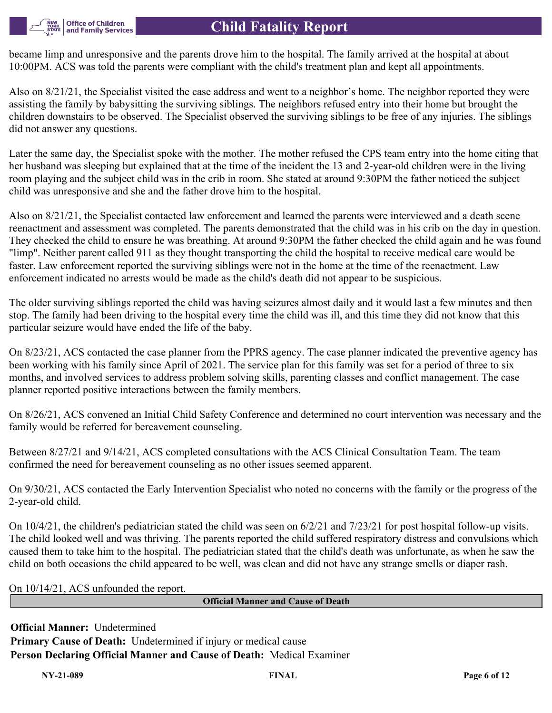became limp and unresponsive and the parents drove him to the hospital. The family arrived at the hospital at about 10:00PM. ACS was told the parents were compliant with the child's treatment plan and kept all appointments.

Also on 8/21/21, the Specialist visited the case address and went to a neighbor's home. The neighbor reported they were assisting the family by babysitting the surviving siblings. The neighbors refused entry into their home but brought the children downstairs to be observed. The Specialist observed the surviving siblings to be free of any injuries. The siblings did not answer any questions.

Later the same day, the Specialist spoke with the mother. The mother refused the CPS team entry into the home citing that her husband was sleeping but explained that at the time of the incident the 13 and 2-year-old children were in the living room playing and the subject child was in the crib in room. She stated at around 9:30PM the father noticed the subject child was unresponsive and she and the father drove him to the hospital.

Also on 8/21/21, the Specialist contacted law enforcement and learned the parents were interviewed and a death scene reenactment and assessment was completed. The parents demonstrated that the child was in his crib on the day in question. They checked the child to ensure he was breathing. At around 9:30PM the father checked the child again and he was found "limp". Neither parent called 911 as they thought transporting the child the hospital to receive medical care would be faster. Law enforcement reported the surviving siblings were not in the home at the time of the reenactment. Law enforcement indicated no arrests would be made as the child's death did not appear to be suspicious.

The older surviving siblings reported the child was having seizures almost daily and it would last a few minutes and then stop. The family had been driving to the hospital every time the child was ill, and this time they did not know that this particular seizure would have ended the life of the baby.

On 8/23/21, ACS contacted the case planner from the PPRS agency. The case planner indicated the preventive agency has been working with his family since April of 2021. The service plan for this family was set for a period of three to six months, and involved services to address problem solving skills, parenting classes and conflict management. The case planner reported positive interactions between the family members.

On 8/26/21, ACS convened an Initial Child Safety Conference and determined no court intervention was necessary and the family would be referred for bereavement counseling.

Between 8/27/21 and 9/14/21, ACS completed consultations with the ACS Clinical Consultation Team. The team confirmed the need for bereavement counseling as no other issues seemed apparent.

On 9/30/21, ACS contacted the Early Intervention Specialist who noted no concerns with the family or the progress of the 2-year-old child.

On  $10/4/21$ , the children's pediatrician stated the child was seen on  $6/2/21$  and  $7/23/21$  for post hospital follow-up visits. The child looked well and was thriving. The parents reported the child suffered respiratory distress and convulsions which caused them to take him to the hospital. The pediatrician stated that the child's death was unfortunate, as when he saw the child on both occasions the child appeared to be well, was clean and did not have any strange smells or diaper rash.

On 10/14/21, ACS unfounded the report.

**Office of Children** and Family Services

**Official Manner and Cause of Death**

**Official Manner:** Undetermined **Primary Cause of Death:** Undetermined if injury or medical cause **Person Declaring Official Manner and Cause of Death:** Medical Examiner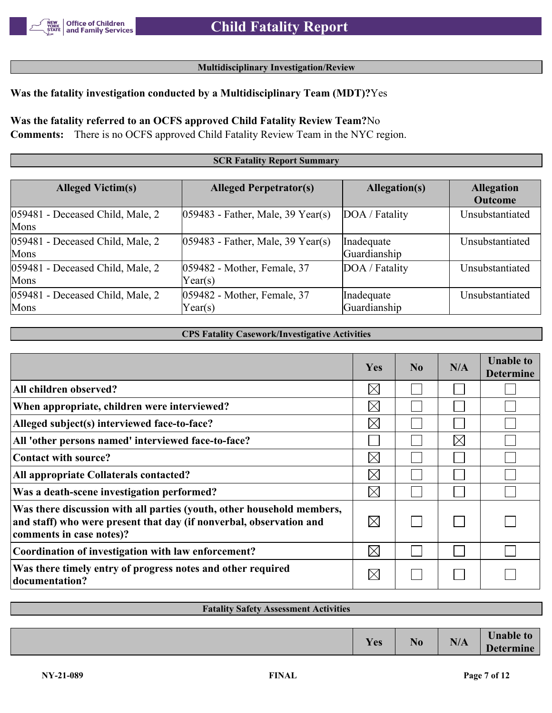### **Multidisciplinary Investigation/Review**

## **Was the fatality investigation conducted by a Multidisciplinary Team (MDT)?**Yes

# **Was the fatality referred to an OCFS approved Child Fatality Review Team?**No

**Comments:** There is no OCFS approved Child Fatality Review Team in the NYC region.

### **SCR Fatality Report Summary**

| <b>Alleged Victim(s)</b>                    | <b>Alleged Perpetrator(s)</b>          | Allegation(s)              | <b>Allegation</b><br><b>Outcome</b> |
|---------------------------------------------|----------------------------------------|----------------------------|-------------------------------------|
| 059481 - Deceased Child, Male, 2<br>Mons    | $ 059483$ - Father, Male, 39 Year(s)   | DOA / Fatality             | Unsubstantiated                     |
| 059481 - Deceased Child, Male, 2<br>Mons    | $ 059483$ - Father, Male, 39 Year(s)   | Inadequate<br>Guardianship | Unsubstantiated                     |
| $ 059481$ - Deceased Child, Male, 2<br>Mons | 059482 - Mother, Female, 37<br>Year(s) | DOA / Fatality             | Unsubstantiated                     |
| $ 059481$ - Deceased Child, Male, 2<br>Mons | 059482 - Mother, Female, 37<br>Year(s) | Inadequate<br>Guardianship | Unsubstantiated                     |

### **CPS Fatality Casework/Investigative Activities**

|                                                                                                                                                                           | Yes         | No | N/A         | <b>Unable to</b><br><b>Determine</b> |
|---------------------------------------------------------------------------------------------------------------------------------------------------------------------------|-------------|----|-------------|--------------------------------------|
| All children observed?                                                                                                                                                    | $\times$    |    |             |                                      |
| When appropriate, children were interviewed?                                                                                                                              | $\boxtimes$ |    |             |                                      |
| Alleged subject(s) interviewed face-to-face?                                                                                                                              | $\boxtimes$ |    |             |                                      |
| All 'other persons named' interviewed face-to-face?                                                                                                                       |             |    | $\boxtimes$ |                                      |
| Contact with source?                                                                                                                                                      | $\boxtimes$ |    |             |                                      |
| All appropriate Collaterals contacted?                                                                                                                                    | $\boxtimes$ |    |             |                                      |
| Was a death-scene investigation performed?                                                                                                                                | $\boxtimes$ |    |             |                                      |
| Was there discussion with all parties (youth, other household members,<br>and staff) who were present that day (if nonverbal, observation and<br>comments in case notes)? | $\boxtimes$ |    |             |                                      |
| Coordination of investigation with law enforcement?                                                                                                                       | $\boxtimes$ |    |             |                                      |
| Was there timely entry of progress notes and other required<br>documentation?                                                                                             | $\times$    |    |             |                                      |

# **Fatality Safety Assessment Activities**  $Yes$  **No N/A Unable to Determine**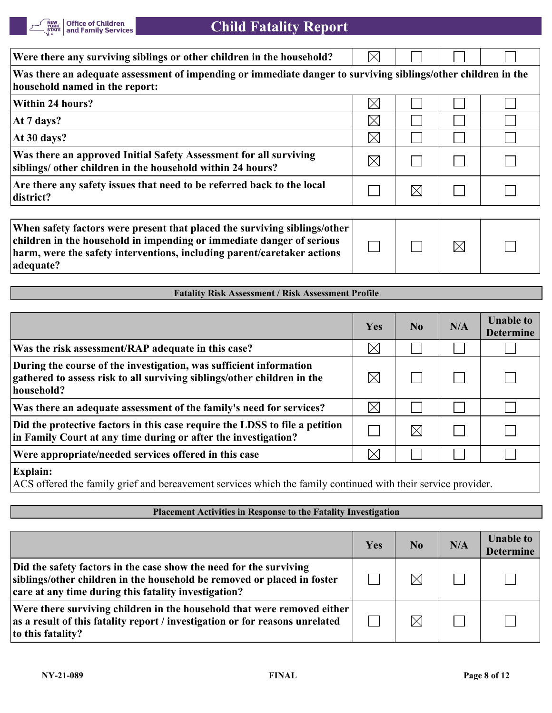

| Were there any surviving siblings or other children in the household?                                                                           |             |     |  |  |  |  |
|-------------------------------------------------------------------------------------------------------------------------------------------------|-------------|-----|--|--|--|--|
| Was there an adequate assessment of impending or immediate danger to surviving siblings/other children in the<br>household named in the report: |             |     |  |  |  |  |
| Within 24 hours?                                                                                                                                | $\times$    |     |  |  |  |  |
| At 7 days?                                                                                                                                      | $\boxtimes$ |     |  |  |  |  |
| At 30 days?                                                                                                                                     | $\boxtimes$ |     |  |  |  |  |
| Was there an approved Initial Safety Assessment for all surviving<br>siblings/ other children in the household within 24 hours?                 | IХI         |     |  |  |  |  |
| Are there any safety issues that need to be referred back to the local<br>district?                                                             |             | IXI |  |  |  |  |
|                                                                                                                                                 |             |     |  |  |  |  |

| When safety factors were present that placed the surviving siblings/other |  |             |  |
|---------------------------------------------------------------------------|--|-------------|--|
| children in the household in impending or immediate danger of serious     |  | $\boxtimes$ |  |
| harm, were the safety interventions, including parent/caretaker actions   |  |             |  |
| adequate?                                                                 |  |             |  |

### **Fatality Risk Assessment / Risk Assessment Profile**

|                                                                                                                                                             | Yes         | No.      | N/A | <b>Unable to</b><br><b>Determine</b> |
|-------------------------------------------------------------------------------------------------------------------------------------------------------------|-------------|----------|-----|--------------------------------------|
| Was the risk assessment/RAP adequate in this case?                                                                                                          | $\boxtimes$ |          |     |                                      |
| During the course of the investigation, was sufficient information<br>gathered to assess risk to all surviving siblings/other children in the<br>household? | $\times$    |          |     |                                      |
| Was there an adequate assessment of the family's need for services?                                                                                         | $\boxtimes$ |          |     |                                      |
| Did the protective factors in this case require the LDSS to file a petition<br>in Family Court at any time during or after the investigation?               |             | $\times$ |     |                                      |
| Were appropriate/needed services offered in this case                                                                                                       | $\boxtimes$ |          |     |                                      |
| <b>Explain:</b>                                                                                                                                             |             |          |     |                                      |

ACS offered the family grief and bereavement services which the family continued with their service provider.

## **Placement Activities in Response to the Fatality Investigation**

|                                                                                                                                                                                                       | Yes | N <sub>0</sub> | N/A | <b>Unable to</b><br><b>Determine</b> |
|-------------------------------------------------------------------------------------------------------------------------------------------------------------------------------------------------------|-----|----------------|-----|--------------------------------------|
| Did the safety factors in the case show the need for the surviving<br>siblings/other children in the household be removed or placed in foster<br>care at any time during this fatality investigation? |     | $\times$       |     |                                      |
| Were there surviving children in the household that were removed either<br>as a result of this fatality report / investigation or for reasons unrelated<br>to this fatality?                          |     | $\boxtimes$    |     |                                      |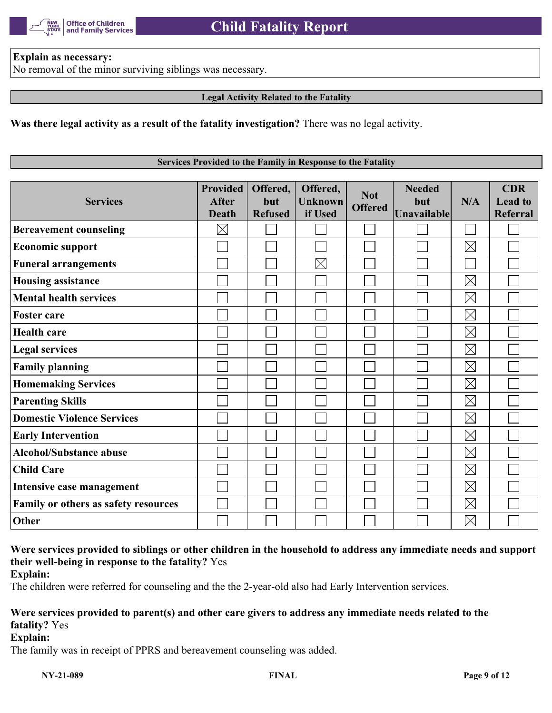

### **Explain as necessary:**

No removal of the minor surviving siblings was necessary.

### **Legal Activity Related to the Fatality**

**Was there legal activity as a result of the fatality investigation?** There was no legal activity.

### **Services Provided to the Family in Response to the Fatality**

| <b>Services</b>                      | <b>Provided</b><br><b>After</b><br><b>Death</b> | Offered,<br>but<br><b>Refused</b> | Offered,<br><b>Unknown</b><br>if Used | <b>Not</b><br><b>Offered</b> | <b>Needed</b><br>but<br><b>Unavailable</b> | N/A         | <b>CDR</b><br><b>Lead to</b><br><b>Referral</b> |
|--------------------------------------|-------------------------------------------------|-----------------------------------|---------------------------------------|------------------------------|--------------------------------------------|-------------|-------------------------------------------------|
| <b>Bereavement counseling</b>        | $\boxtimes$                                     |                                   |                                       |                              |                                            |             |                                                 |
| <b>Economic support</b>              |                                                 |                                   |                                       |                              |                                            | $\boxtimes$ |                                                 |
| <b>Funeral arrangements</b>          |                                                 |                                   | $\times$                              |                              |                                            |             |                                                 |
| <b>Housing assistance</b>            |                                                 |                                   |                                       |                              |                                            | $\boxtimes$ |                                                 |
| <b>Mental health services</b>        |                                                 |                                   |                                       |                              |                                            | $\boxtimes$ |                                                 |
| <b>Foster care</b>                   |                                                 |                                   |                                       |                              |                                            | $\boxtimes$ |                                                 |
| <b>Health care</b>                   |                                                 |                                   |                                       |                              |                                            | $\boxtimes$ |                                                 |
| <b>Legal services</b>                |                                                 |                                   |                                       |                              |                                            | $\boxtimes$ |                                                 |
| <b>Family planning</b>               |                                                 |                                   |                                       |                              |                                            | $\boxtimes$ |                                                 |
| <b>Homemaking Services</b>           |                                                 |                                   |                                       |                              |                                            | $\boxtimes$ |                                                 |
| <b>Parenting Skills</b>              |                                                 |                                   |                                       |                              |                                            | $\boxtimes$ |                                                 |
| <b>Domestic Violence Services</b>    |                                                 |                                   |                                       |                              |                                            | $\boxtimes$ |                                                 |
| <b>Early Intervention</b>            |                                                 |                                   |                                       |                              |                                            | $\boxtimes$ |                                                 |
| <b>Alcohol/Substance abuse</b>       |                                                 |                                   |                                       |                              |                                            | $\boxtimes$ |                                                 |
| <b>Child Care</b>                    |                                                 |                                   |                                       |                              |                                            | $\boxtimes$ |                                                 |
| Intensive case management            |                                                 |                                   |                                       |                              |                                            | $\boxtimes$ |                                                 |
| Family or others as safety resources |                                                 |                                   |                                       |                              |                                            | $\boxtimes$ |                                                 |
| Other                                |                                                 |                                   |                                       |                              |                                            | $\boxtimes$ |                                                 |

# **Were services provided to siblings or other children in the household to address any immediate needs and support their well-being in response to the fatality?** Yes

**Explain:**

The children were referred for counseling and the the 2-year-old also had Early Intervention services.

## **Were services provided to parent(s) and other care givers to address any immediate needs related to the fatality?** Yes

**Explain:**

The family was in receipt of PPRS and bereavement counseling was added.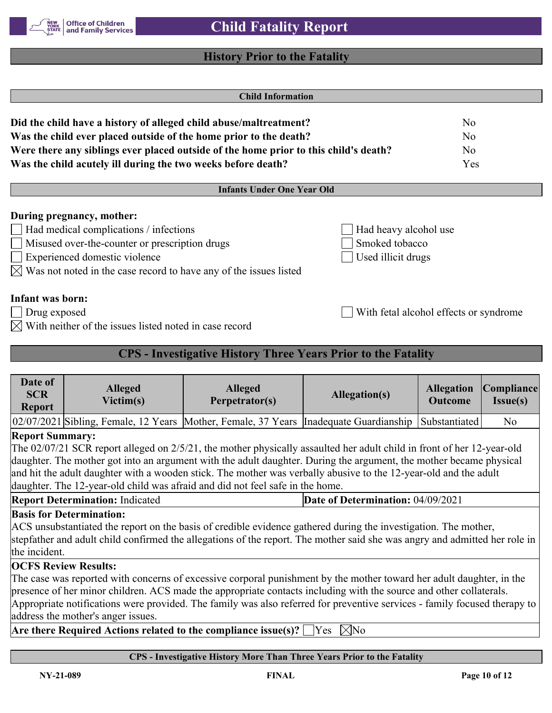

## **History Prior to the Fatality**

|                                         |                                                                                                                                                                                                                                                                                                                                                                                                                                                   | <b>Child Information</b>                                             |                                                               |                                        |                        |
|-----------------------------------------|---------------------------------------------------------------------------------------------------------------------------------------------------------------------------------------------------------------------------------------------------------------------------------------------------------------------------------------------------------------------------------------------------------------------------------------------------|----------------------------------------------------------------------|---------------------------------------------------------------|----------------------------------------|------------------------|
|                                         | Did the child have a history of alleged child abuse/maltreatment?<br>Was the child ever placed outside of the home prior to the death?                                                                                                                                                                                                                                                                                                            |                                                                      |                                                               | No<br>N <sub>o</sub>                   |                        |
|                                         | Were there any siblings ever placed outside of the home prior to this child's death?<br>Was the child acutely ill during the two weeks before death?                                                                                                                                                                                                                                                                                              |                                                                      |                                                               | N <sub>o</sub><br>Yes                  |                        |
|                                         |                                                                                                                                                                                                                                                                                                                                                                                                                                                   | <b>Infants Under One Year Old</b>                                    |                                                               |                                        |                        |
|                                         | During pregnancy, mother:<br>Had medical complications / infections<br>Misused over-the-counter or prescription drugs<br>Experienced domestic violence<br>$\boxtimes$ Was not noted in the case record to have any of the issues listed                                                                                                                                                                                                           |                                                                      | Had heavy alcohol use<br>Smoked tobacco<br>Used illicit drugs |                                        |                        |
| <b>Infant was born:</b><br>Drug exposed | $\boxtimes$ With neither of the issues listed noted in case record                                                                                                                                                                                                                                                                                                                                                                                |                                                                      |                                                               | With fetal alcohol effects or syndrome |                        |
|                                         |                                                                                                                                                                                                                                                                                                                                                                                                                                                   | <b>CPS - Investigative History Three Years Prior to the Fatality</b> |                                                               |                                        |                        |
| Date of<br><b>SCR</b><br><b>Report</b>  | Alleged<br>Victim(s)                                                                                                                                                                                                                                                                                                                                                                                                                              | <b>Alleged</b><br>Perpetrator(s)                                     | <b>Allegation(s)</b>                                          | <b>Allegation</b><br><b>Outcome</b>    | Compliance<br>Issue(s) |
|                                         | 02/07/2021 Sibling, Female, 12 Years Mother, Female, 37 Years                                                                                                                                                                                                                                                                                                                                                                                     |                                                                      | Inadequate Guardianship                                       | Substantiated                          | N <sub>o</sub>         |
| <b>Report Summary:</b>                  | The 02/07/21 SCR report alleged on 2/5/21, the mother physically assaulted her adult child in front of her 12-year-old<br>daughter. The mother got into an argument with the adult daughter. During the argument, the mother became physical<br>and hit the adult daughter with a wooden stick. The mother was verbally abusive to the 12-year-old and the adult<br>daughter. The 12-year-old child was afraid and did not feel safe in the home. |                                                                      |                                                               |                                        |                        |

| <b>Report Determination:</b> Indicated | Date of Determination: 04/09/2021 |
|----------------------------------------|-----------------------------------|
|                                        |                                   |

## **Basis for Determination:**

ACS unsubstantiated the report on the basis of credible evidence gathered during the investigation. The mother, stepfather and adult child confirmed the allegations of the report. The mother said she was angry and admitted her role in the incident.

## **OCFS Review Results:**

The case was reported with concerns of excessive corporal punishment by the mother toward her adult daughter, in the presence of her minor children. ACS made the appropriate contacts including with the source and other collaterals. Appropriate notifications were provided. The family was also referred for preventive services - family focused therapy to address the mother's anger issues.

**Are there Required Actions related to the compliance issue(s)?**  $\Box$  Yes  $\Box$  No

## **CPS - Investigative History More Than Three Years Prior to the Fatality**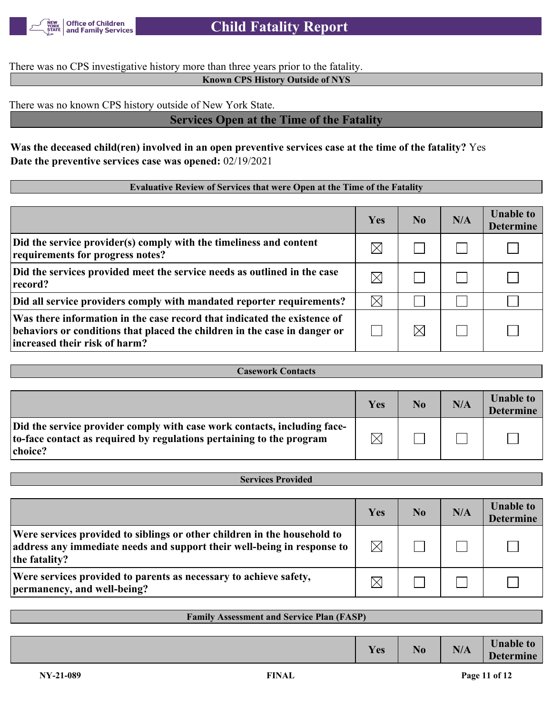

There was no CPS investigative history more than three years prior to the fatality.

**Known CPS History Outside of NYS**

There was no known CPS history outside of New York State.

# **Services Open at the Time of the Fatality**

**Was the deceased child(ren) involved in an open preventive services case at the time of the fatality?** Yes **Date the preventive services case was opened:** 02/19/2021

## **Evaluative Review of Services that were Open at the Time of the Fatality**

|                                                                                                                                                                                        | Yes         | N <sub>0</sub> | N/A | <b>Unable to</b><br><b>Determine</b> |
|----------------------------------------------------------------------------------------------------------------------------------------------------------------------------------------|-------------|----------------|-----|--------------------------------------|
| Did the service provider(s) comply with the timeliness and content<br>requirements for progress notes?                                                                                 | $\times$    |                |     |                                      |
| Did the services provided meet the service needs as outlined in the case<br>record?                                                                                                    | $\times$    |                |     |                                      |
| Did all service providers comply with mandated reporter requirements?                                                                                                                  | $\boxtimes$ |                |     |                                      |
| Was there information in the case record that indicated the existence of<br>behaviors or conditions that placed the children in the case in danger or<br>increased their risk of harm? |             |                |     |                                      |

| <b>Casework Contacts</b>                                                                                                                                    |          |    |     |                                      |
|-------------------------------------------------------------------------------------------------------------------------------------------------------------|----------|----|-----|--------------------------------------|
|                                                                                                                                                             |          |    |     |                                      |
|                                                                                                                                                             | Yes      | No | N/A | <b>Unable to</b><br><b>Determine</b> |
| Did the service provider comply with case work contacts, including face-<br>to-face contact as required by regulations pertaining to the program<br>choice? | $\nabla$ |    |     |                                      |

| <b>Services Provided</b>                                                                                                                                             |             |    |     |                                      |
|----------------------------------------------------------------------------------------------------------------------------------------------------------------------|-------------|----|-----|--------------------------------------|
|                                                                                                                                                                      |             |    |     |                                      |
|                                                                                                                                                                      | Yes         | No | N/A | <b>Unable to</b><br><b>Determine</b> |
| Were services provided to siblings or other children in the household to<br>address any immediate needs and support their well-being in response to<br>the fatality? | $\boxtimes$ |    |     |                                      |
| Were services provided to parents as necessary to achieve safety,<br>permanency, and well-being?                                                                     | $\times$    |    |     |                                      |

| <b>Family Assessment and Service Plan (FASP)</b> |
|--------------------------------------------------|
|--------------------------------------------------|